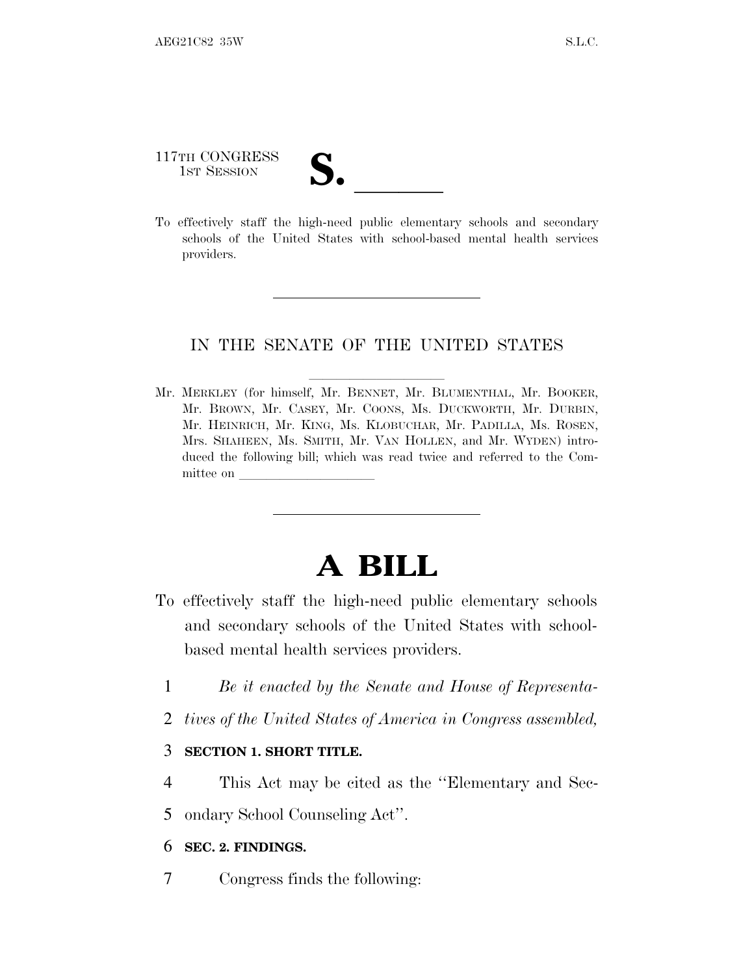# 117TH CONGRESS

117TH CONGRESS<br>
1ST SESSION<br>
To effectively staff the high-need public elementary schools and secondary schools of the United States with school-based mental health services providers.

### IN THE SENATE OF THE UNITED STATES

Mr. MERKLEY (for himself, Mr. BENNET, Mr. BLUMENTHAL, Mr. BOOKER, Mr. BROWN, Mr. CASEY, Mr. COONS, Ms. DUCKWORTH, Mr. DURBIN, Mr. HEINRICH, Mr. KING, Ms. KLOBUCHAR, Mr. PADILLA, Ms. ROSEN, Mrs. SHAHEEN, Ms. SMITH, Mr. VAN HOLLEN, and Mr. WYDEN) introduced the following bill; which was read twice and referred to the Committee on

## **A BILL**

- To effectively staff the high-need public elementary schools and secondary schools of the United States with schoolbased mental health services providers.
	- 1 *Be it enacted by the Senate and House of Representa-*
	- 2 *tives of the United States of America in Congress assembled,*

#### 3 **SECTION 1. SHORT TITLE.**

4 This Act may be cited as the ''Elementary and Sec-

5 ondary School Counseling Act''.

### 6 **SEC. 2. FINDINGS.**

7 Congress finds the following: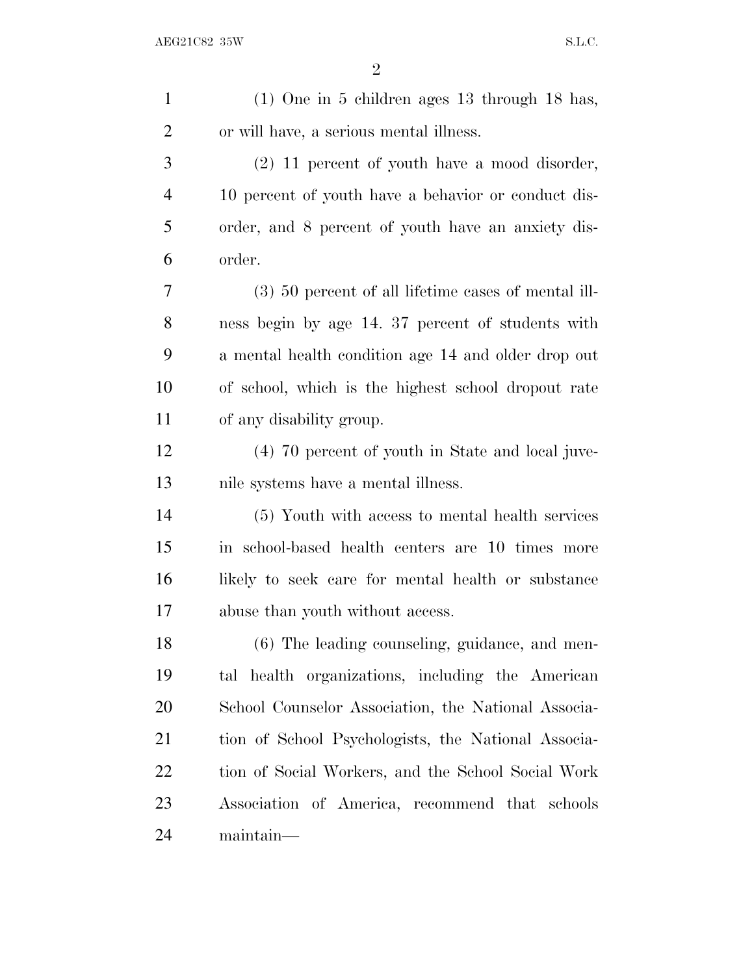| $\mathbf{1}$   | $(1)$ One in 5 children ages 13 through 18 has,       |
|----------------|-------------------------------------------------------|
| $\overline{2}$ | or will have, a serious mental illness.               |
| 3              | (2) 11 percent of youth have a mood disorder,         |
| $\overline{4}$ | 10 percent of youth have a behavior or conduct dis-   |
| 5              | order, and 8 percent of youth have an anxiety dis-    |
| 6              | order.                                                |
| 7              | $(3)$ 50 percent of all lifetime cases of mental ill- |
| 8              | ness begin by age 14. 37 percent of students with     |
| 9              | a mental health condition age 14 and older drop out   |
| 10             | of school, which is the highest school dropout rate   |
| 11             | of any disability group.                              |
| 12             | (4) 70 percent of youth in State and local juve-      |
| 13             | nile systems have a mental illness.                   |
| 14             | (5) Youth with access to mental health services       |
| 15             | in school-based health centers are 10 times more      |
| 16             | likely to seek care for mental health or substance    |
| 17             | abuse than youth without access.                      |
| 18             | (6) The leading counseling, guidance, and men-        |
| 19             | tal health organizations, including the American      |
| 20             | School Counselor Association, the National Associa-   |
| 21             | tion of School Psychologists, the National Associa-   |
| <u>22</u>      | tion of Social Workers, and the School Social Work    |
| 23             |                                                       |
|                | Association of America, recommend that schools        |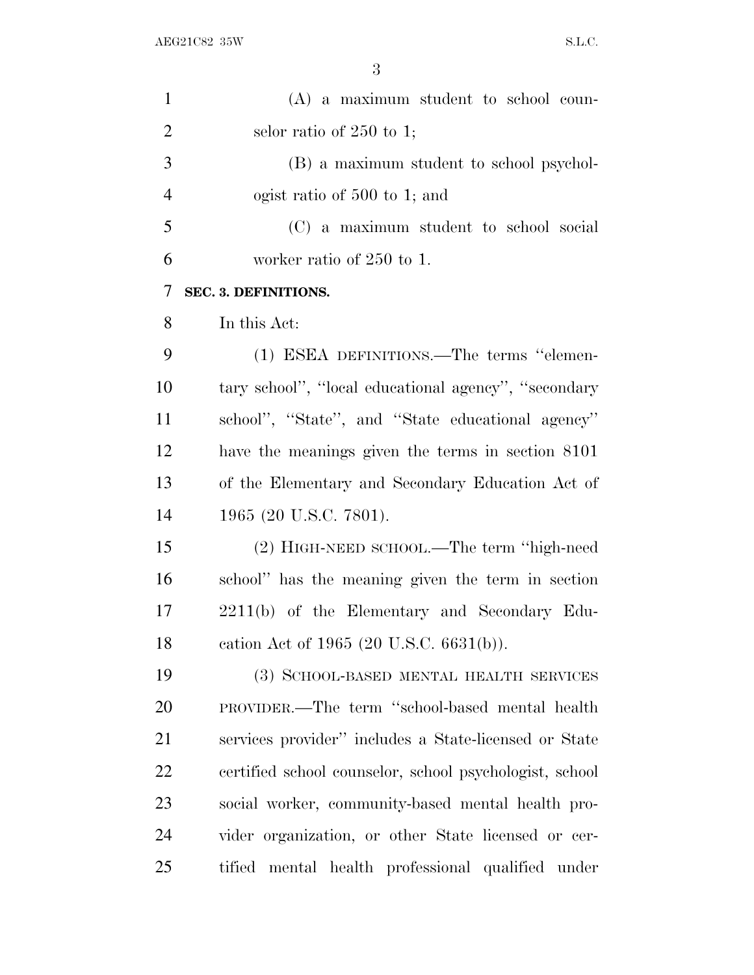| $\mathbf{1}$   | $(A)$ a maximum student to school coun-                 |
|----------------|---------------------------------------------------------|
| $\overline{2}$ | selor ratio of $250$ to 1;                              |
| 3              | (B) a maximum student to school psychol-                |
| $\overline{4}$ | ogist ratio of 500 to 1; and                            |
| 5              | (C) a maximum student to school social                  |
| 6              | worker ratio of 250 to 1.                               |
| 7              | SEC. 3. DEFINITIONS.                                    |
| 8              | In this Act:                                            |
| 9              | (1) ESEA DEFINITIONS.—The terms "elemen-                |
| 10             | tary school", "local educational agency", "secondary"   |
| 11             | school", "State", and "State educational agency"        |
| 12             | have the meanings given the terms in section 8101       |
| 13             | of the Elementary and Secondary Education Act of        |
| 14             | 1965 (20 U.S.C. 7801).                                  |
| 15             | (2) HIGH-NEED SCHOOL.—The term "high-need               |
| 16             | school" has the meaning given the term in section       |
| 17             | 2211(b) of the Elementary and Secondary Edu-            |
| 18             | cation Act of 1965 (20 U.S.C. 6631(b)).                 |
| 19             | (3) SCHOOL-BASED MENTAL HEALTH SERVICES                 |
| 20             | PROVIDER.—The term "school-based mental health          |
| 21             | services provider" includes a State-licensed or State   |
| 22             | certified school counselor, school psychologist, school |
| 23             | social worker, community-based mental health pro-       |
| 24             | vider organization, or other State licensed or cer-     |
| 25             | tified mental health professional qualified under       |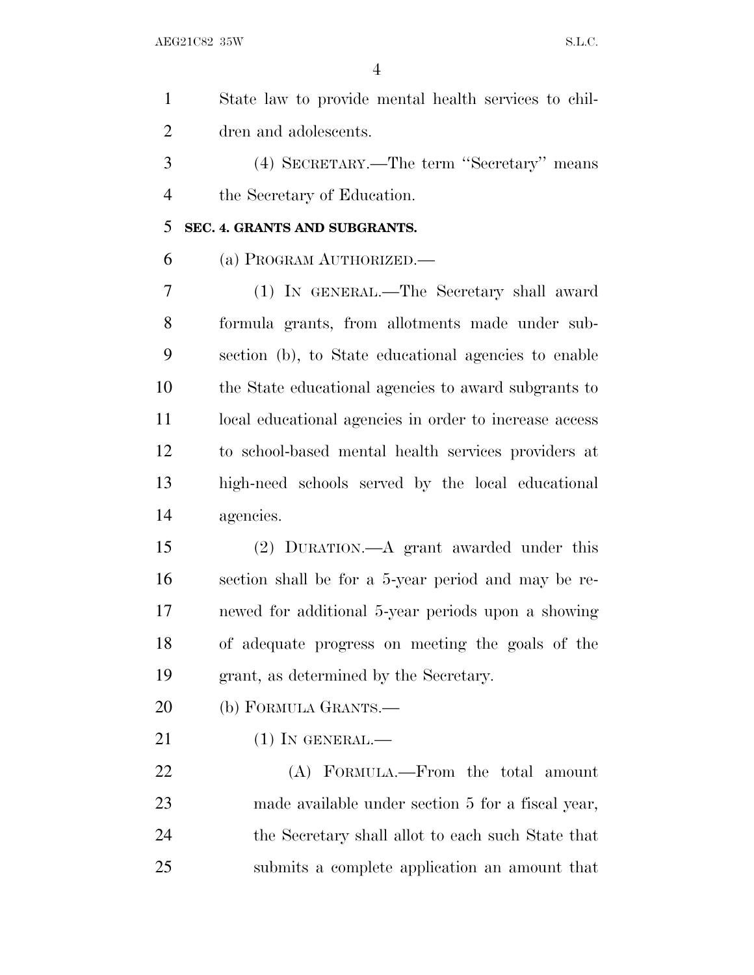$AEG21C82$  35W S.L.C.

| $\mathbf{1}$   | State law to provide mental health services to chil-   |
|----------------|--------------------------------------------------------|
| $\overline{2}$ | dren and adolescents.                                  |
| 3              | (4) SECRETARY.—The term "Secretary" means              |
| $\overline{4}$ | the Secretary of Education.                            |
| 5              | SEC. 4. GRANTS AND SUBGRANTS.                          |
| 6              | (a) PROGRAM AUTHORIZED.                                |
| 7              | (1) IN GENERAL.—The Secretary shall award              |
| 8              | formula grants, from allotments made under sub-        |
| 9              | section (b), to State educational agencies to enable   |
| 10             | the State educational agencies to award subgrants to   |
| 11             | local educational agencies in order to increase access |
| 12             | to school-based mental health services providers at    |
| 13             | high-need schools served by the local educational      |
| 14             | agencies.                                              |
| 15             | (2) DURATION.—A grant awarded under this               |
| 16             | section shall be for a 5-year period and may be re-    |
| 17             | newed for additional 5-year periods upon a showing     |
| 18             | of adequate progress on meeting the goals of the       |
| 19             | grant, as determined by the Secretary.                 |
| 20             | (b) FORMULA GRANTS.—                                   |
| 21             | $(1)$ In GENERAL.—                                     |
| 22             | (A) FORMULA.—From the total amount                     |
| 23             | made available under section 5 for a fiscal year,      |
| 24             | the Secretary shall allot to each such State that      |
| 25             | submits a complete application an amount that          |
|                |                                                        |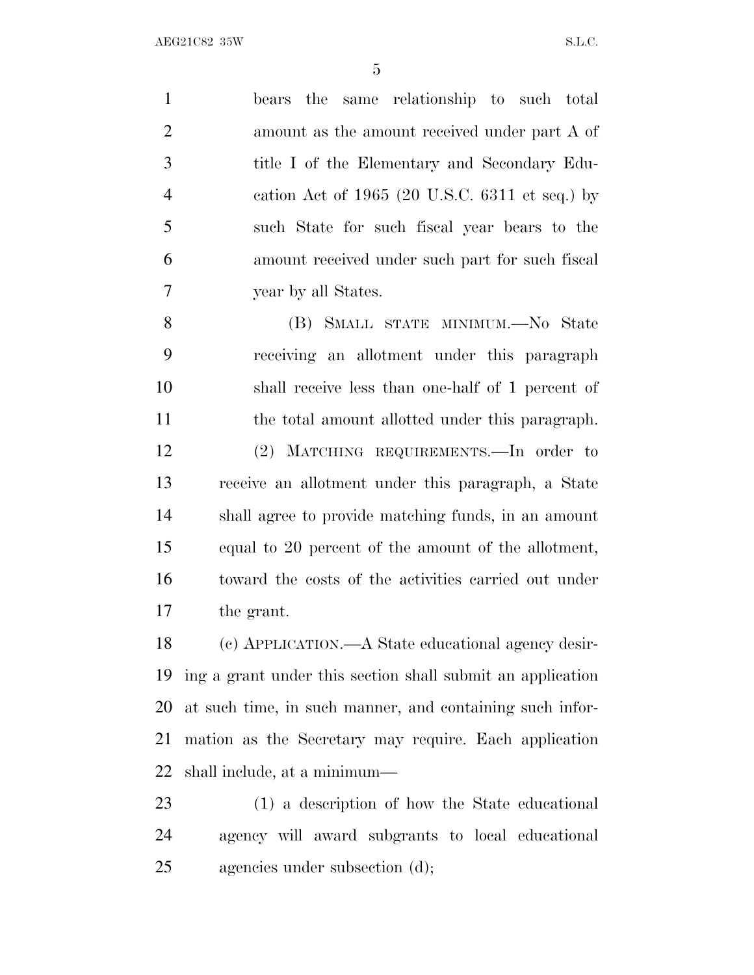bears the same relationship to such total amount as the amount received under part A of title I of the Elementary and Secondary Edu- cation Act of 1965 (20 U.S.C. 6311 et seq.) by such State for such fiscal year bears to the amount received under such part for such fiscal year by all States.

 (B) SMALL STATE MINIMUM.—No State receiving an allotment under this paragraph shall receive less than one-half of 1 percent of the total amount allotted under this paragraph. (2) MATCHING REQUIREMENTS.—In order to receive an allotment under this paragraph, a State shall agree to provide matching funds, in an amount equal to 20 percent of the amount of the allotment, toward the costs of the activities carried out under the grant.

 (c) APPLICATION.—A State educational agency desir- ing a grant under this section shall submit an application at such time, in such manner, and containing such infor- mation as the Secretary may require. Each application shall include, at a minimum—

 (1) a description of how the State educational agency will award subgrants to local educational agencies under subsection (d);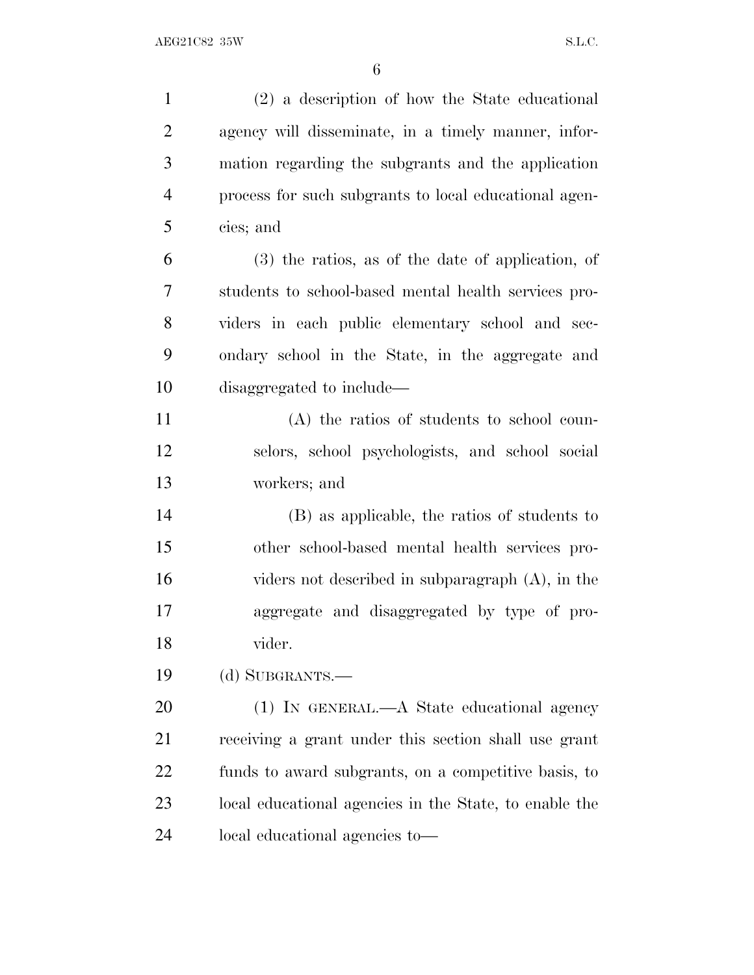| $\mathbf{1}$   | (2) a description of how the State educational         |
|----------------|--------------------------------------------------------|
| $\overline{2}$ | agency will disseminate, in a timely manner, infor-    |
| 3              | mation regarding the subgrants and the application     |
| $\overline{4}$ | process for such subgrants to local educational agen-  |
| 5              | cies; and                                              |
| 6              | $(3)$ the ratios, as of the date of application, of    |
| 7              | students to school-based mental health services pro-   |
| 8              | viders in each public elementary school and sec-       |
| 9              | ondary school in the State, in the aggregate and       |
| 10             | disaggregated to include—                              |
| 11             | (A) the ratios of students to school coun-             |
| 12             | selors, school psychologists, and school social        |
| 13             | workers; and                                           |
| 14             | (B) as applicable, the ratios of students to           |
| 15             | other school-based mental health services pro-         |
| 16             | viders not described in subparagraph (A), in the       |
| 17             | aggregate and disaggregated by type of pro-            |
| 18             | vider.                                                 |
| 19             | (d) SUBGRANTS.—                                        |
| 20             | (1) IN GENERAL.—A State educational agency             |
| 21             | receiving a grant under this section shall use grant   |
| 22             | funds to award subgrants, on a competitive basis, to   |
| 23             | local educational agencies in the State, to enable the |
| 24             | local educational agencies to-                         |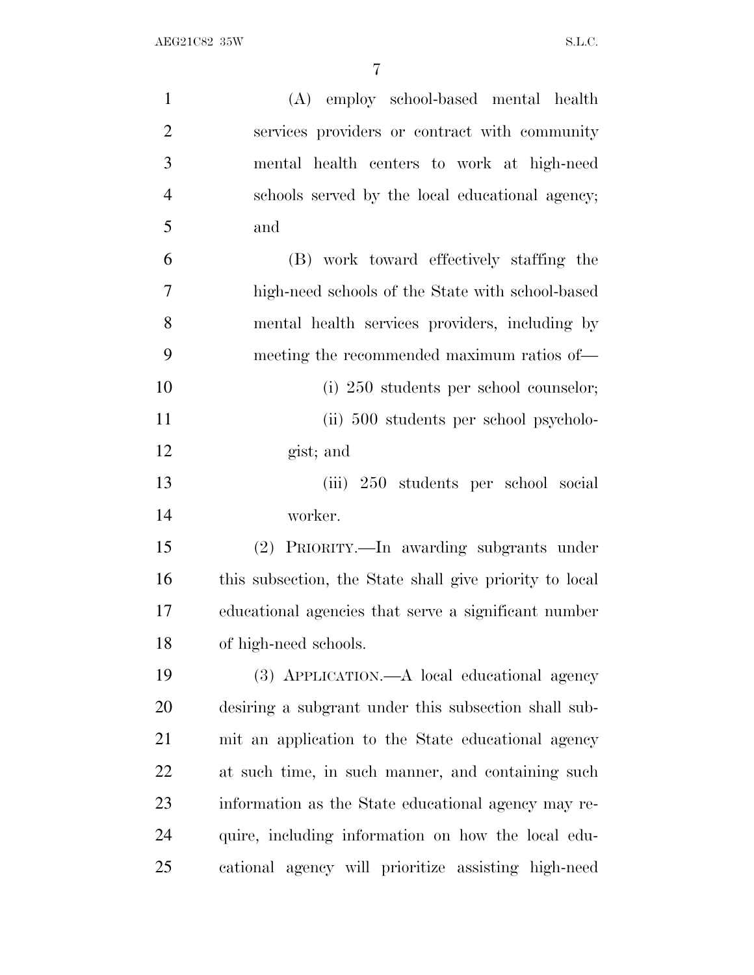| $\mathbf{1}$   | (A) employ school-based mental health                   |
|----------------|---------------------------------------------------------|
| $\overline{2}$ | services providers or contract with community           |
| 3              | mental health centers to work at high-need              |
| $\overline{4}$ | schools served by the local educational agency;         |
| 5              | and                                                     |
| 6              | (B) work toward effectively staffing the                |
| $\tau$         | high-need schools of the State with school-based        |
| 8              | mental health services providers, including by          |
| 9              | meeting the recommended maximum ratios of—              |
| 10             | (i) 250 students per school counselor;                  |
| 11             | (ii) 500 students per school psycholo-                  |
| 12             | gist; and                                               |
| 13             | (iii) 250 students per school social                    |
| 14             | worker.                                                 |
| 15             | (2) PRIORITY.—In awarding subgrants under               |
| 16             | this subsection, the State shall give priority to local |
| 17             | educational agencies that serve a significant number    |
| 18             | of high-need schools.                                   |
| 19             | (3) APPLICATION.—A local educational agency             |
| 20             | desiring a subgrant under this subsection shall sub-    |
| 21             | mit an application to the State educational agency      |
| 22             | at such time, in such manner, and containing such       |
| 23             | information as the State educational agency may re-     |
| 24             | quire, including information on how the local edu-      |
| 25             | cational agency will prioritize assisting high-need     |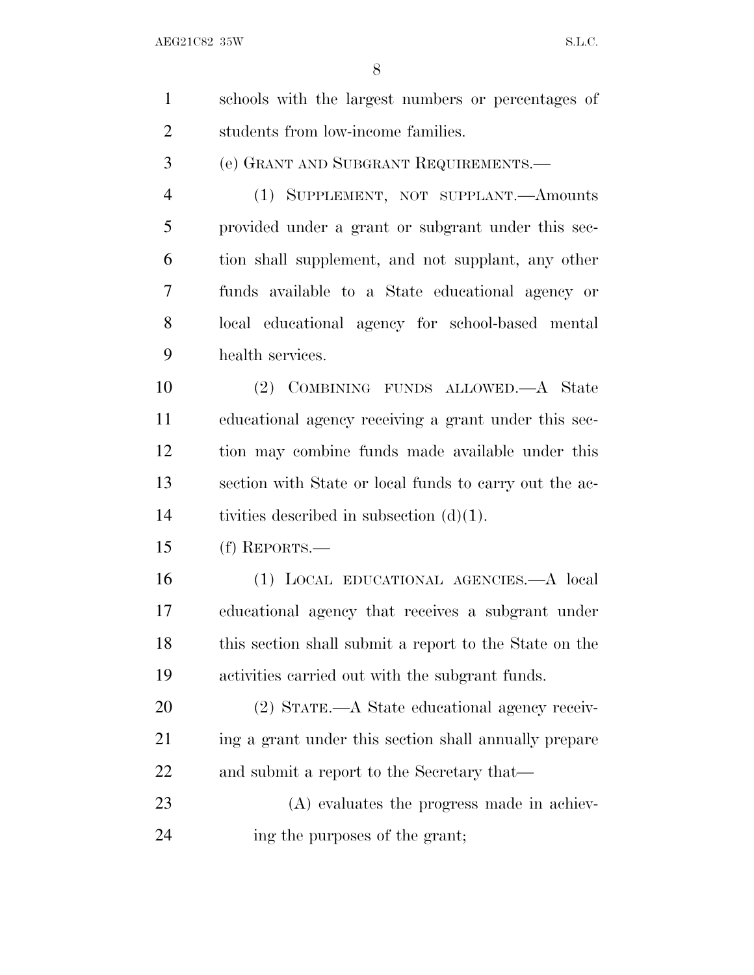$AEG21C82$  35W S.L.C.

| $\mathbf{1}$   | schools with the largest numbers or percentages of     |
|----------------|--------------------------------------------------------|
| $\overline{2}$ | students from low-income families.                     |
| 3              | (e) GRANT AND SUBGRANT REQUIREMENTS.—                  |
| $\overline{4}$ | (1) SUPPLEMENT, NOT SUPPLANT.—Amounts                  |
| 5              | provided under a grant or subgrant under this sec-     |
| 6              | tion shall supplement, and not supplant, any other     |
| 7              | funds available to a State educational agency or       |
| 8              | local educational agency for school-based mental       |
| 9              | health services.                                       |
| 10             | (2) COMBINING FUNDS ALLOWED.—A State                   |
| 11             | educational agency receiving a grant under this sec-   |
| 12             | tion may combine funds made available under this       |
| 13             | section with State or local funds to carry out the ac- |
| 14             | tivities described in subsection $(d)(1)$ .            |
| 15             | $(f)$ REPORTS.—                                        |
| 16             | (1) LOCAL EDUCATIONAL AGENCIES.—A local                |
| 17             | educational agency that receives a subgrant under      |
| 18             | this section shall submit a report to the State on the |
| 19             | activities carried out with the subgrant funds.        |
| 20             | (2) STATE.—A State educational agency receiv-          |
| 21             | ing a grant under this section shall annually prepare  |
| 22             | and submit a report to the Secretary that—             |
| 23             | (A) evaluates the progress made in achiev-             |
| 24             | ing the purposes of the grant;                         |